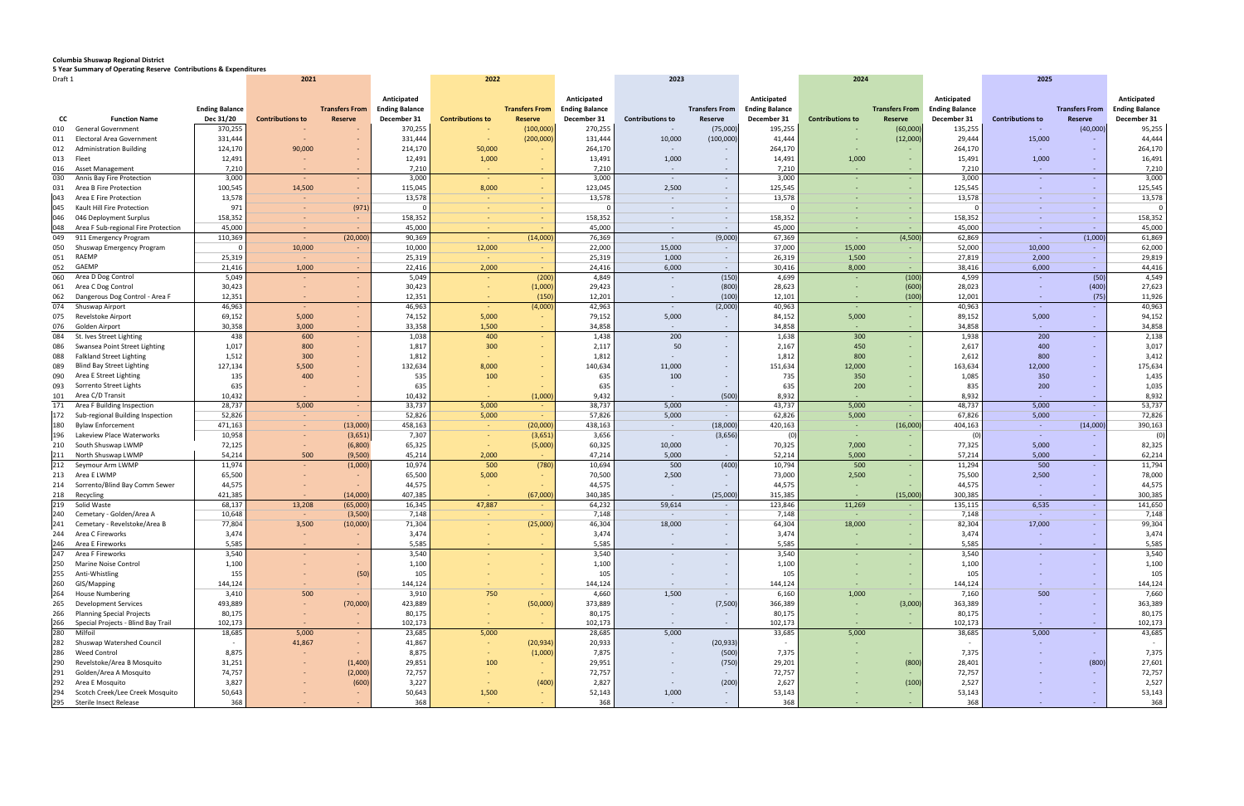## **Columbia Shuswap Regional District**

**5 Year Summary of Operating Reserve Contributions & Expenditures**

| Draft 1    |                                      |                       |                         | 2021                  |                                      | 2022                    |                       |                                      | 2023                     |                       | 2024                                 |                         | 2025                  |                                      |                         |                       |                                      |
|------------|--------------------------------------|-----------------------|-------------------------|-----------------------|--------------------------------------|-------------------------|-----------------------|--------------------------------------|--------------------------|-----------------------|--------------------------------------|-------------------------|-----------------------|--------------------------------------|-------------------------|-----------------------|--------------------------------------|
|            |                                      | <b>Ending Balance</b> |                         | <b>Transfers From</b> | Anticipated<br><b>Ending Balance</b> |                         | <b>Transfers From</b> | Anticipated<br><b>Ending Balance</b> |                          | <b>Transfers From</b> | Anticipated<br><b>Ending Balance</b> |                         | <b>Transfers From</b> | Anticipated<br><b>Ending Balance</b> |                         | <b>Transfers From</b> | Anticipated<br><b>Ending Balance</b> |
| cc         | <b>Function Name</b>                 | Dec 31/20             | <b>Contributions to</b> | <b>Reserve</b>        | December 31                          | <b>Contributions to</b> | Reserve               | December 31                          | <b>Contributions to</b>  | Reserve               | December 31                          | <b>Contributions to</b> | Reserve               | December 31                          | <b>Contributions to</b> | Reserve               | December 31                          |
| 010        | <b>General Government</b>            | 370,255               |                         |                       | 370,255                              |                         | (100,000)             | 270,255                              |                          | (75,000)              | 195,255                              |                         | (60,000)              | 135,255                              | <b>.</b>                | (40,000)              | 95,255                               |
| 011        | Electoral Area Government            | 331,444               |                         |                       | 331,444                              | $\sim$                  | (200,000)             | 131,444                              | 10,000                   | (100,000)             | 41,444                               |                         | (12,000)              | 29,444                               | 15,000                  | $\sim$                | 44,444                               |
|            | <b>Administration Building</b>       | 124,170               | 90,000                  | $\sim$                |                                      | 50,000                  |                       | 264,170                              |                          |                       | 264,170                              |                         |                       |                                      | $\sim$                  | $\sim$                | 264,170                              |
| 012        |                                      |                       |                         |                       | 214,170                              |                         |                       |                                      |                          |                       |                                      |                         |                       | 264,170                              |                         |                       |                                      |
| 013        | Fleet                                | 12,491                | ٠                       | $\sim$                | 12,491                               | 1,000                   | $\sim$                | 13,491                               | 1,000                    | $\sim$                | 14,491                               | 1,000                   | $\sim$                | 15,491                               | 1,000                   | $\sim$                | 16,491                               |
|            | 016 Asset Management                 | 7,210                 |                         | $\sim$                | 7,210                                |                         |                       | 7,210                                | $\sim$                   |                       | 7,210                                |                         |                       | 7,210                                | $\sim$ $ \sim$          | $\sim$                | 7,210                                |
| 030        | Annis Bay Fire Protection            | 3,000                 | $\sim$                  | $\sim$                | 3,000                                |                         | $\sim$                | 3,000                                | $\sim$                   | $\sim$                | 3,000                                |                         | $\sim$                | 3,000                                | $\sim$                  | $\sim$                | 3,000                                |
| 031        | Area B Fire Protection               | 100,545               | 14,500                  | $\sim$                | 115,045                              | 8,000                   | $\sim$                | 123,045                              | 2,500                    | $\sim$                | 125,545                              |                         |                       | 125,545                              | $\sim$                  | $\sim$                | 125,545                              |
| 043        | Area E Fire Protection               | 13,578                |                         | $\sim$                | 13,578                               | $\sim$                  |                       | 13,578                               | $\sim$                   | $\sim$ $-$            | 13,578                               |                         |                       | 13,578                               | $\sim$                  | $\sim$ $-$            | 13,578                               |
| 045        | Kault Hill Fire Protection           | 971                   | $\sim$                  | (971)                 |                                      | $\sim$                  | $\sim$                |                                      | $\overline{\phantom{a}}$ | $\sim$                |                                      |                         | . н.                  |                                      | $\sim$ $ \sim$          | $\sim$ $ \sim$        | $\Omega$                             |
| 046        | 046 Deployment Surplus               | 158,352               | $\sim$                  | $\sim$                | 158,352                              | <b>College</b>          | $\sim$                | 158,352                              | $\sim$                   | $\sim$                | 158,352                              |                         | $\sim$                | 158,352                              | <b>Contract</b>         | $\sim$ $ \sim$        | 158,352                              |
| 048        | Area F Sub-regional Fire Protection  | 45,000                | $\sim$                  |                       | 45,000                               | <b>Contract</b>         |                       | 45,000                               | $\sim$                   | $\sim$                | 45,000                               |                         |                       | 45,000                               | $\sim$ $ \sim$          | $\sim$ $ \sim$        | 45,000                               |
| 049        | 911 Emergency Program                | 110,369               | ٠                       | (20,000)              | 90,369                               | a.                      | (14,000)              | 76,369                               | $\sim$                   | (9,000)               | 67,369                               |                         | (4,500)               | 62,869                               | $\sim 10^{-1}$          | (1,000)               | 61,869                               |
| 050        | Shuswap Emergency Program            |                       | 10,000                  |                       | 10,000                               | 12,000                  |                       | 22,000                               | 15,000                   | $\sim$                | 37,000                               | 15,000                  |                       | 52,000                               | 10,000                  | $\sim$                | 62,000                               |
| 051        | <b>RAEMP</b>                         | 25,319                | $\sim$                  | $\sim$                | 25,319                               | $\sim$                  |                       | 25,319                               | 1,000                    | $\sim$ $-$            | 26,319                               | 1,500                   |                       | 27,819                               | 2,000                   | $\sim$                | 29,819                               |
| 052        | GAEMP                                | 21,416                | 1,000                   | $\sim$                | 22,416                               | 2,000                   |                       | 24,416                               | 6,000                    | $\sim$                | 30,416                               | 8,000                   | $\sim$                | 38,416                               | 6,000                   | $\sim$ $-$            | 44,416                               |
| 060        | Area D Dog Control                   | 5,049                 |                         | $\sim$                | 5,049                                |                         | (200)                 | 4,849                                |                          | (150)                 | 4,699                                |                         | (100)                 | 4,599                                | $\sim$                  | (50)                  | 4,549                                |
| 061        | Area C Dog Control                   | 30,423                |                         | $\sim$                | 30,423                               | $\sim$                  | (1,000)               | 29,423                               |                          | (800)                 | 28,623                               | $\sim$                  | (600)                 | 28,023                               | $\sim$                  | (400)                 | 27,623                               |
| 062        | Dangerous Dog Control - Area F       | 12,351                |                         | $\sim$                | 12,351                               |                         | (150)                 | 12,201                               | $\sim$                   | (100)                 | 12,101                               | $\sim$                  | (100)                 | 12,001                               | $\sim$                  | (75)                  | 11,926                               |
| 074        | Shuswap Airport                      | 46,963                |                         |                       | 46,963                               |                         | (4,000)               | 42,963                               | $\sim$                   | (2,000)               | 40,963                               |                         |                       | 40,963                               | $\sim$                  | $\sim$                | 40,963                               |
| 075        | Revelstoke Airport                   | 69,152                | 5,000                   | $\sim$                | 74,152                               | 5,000                   | $\sim$                | 79,152                               | 5,000                    | $\sim$                | 84,152                               | 5,000                   | . н.                  | 89,152                               | 5,000                   | $\sim$                | 94,152                               |
| 076        | Golden Airport                       | 30,358                | 3,000                   | $\sim$                | 33,358                               | 1,500                   |                       | 34,858                               | $\overline{\phantom{a}}$ | $\sim$                | 34,858                               |                         |                       | 34,858                               | $\sim$ $-$              | $\sim$                | 34,858                               |
| 084        | St. Ives Street Lighting             | 438                   | 600                     | $\sim$                | 1,038                                | 400                     | $\sim$                | 1,438                                | 200                      | $\sim$                | 1,638                                | 300                     | $\sim$                | 1,938                                | 200                     | $\sim$                | 2,138                                |
| 086        | Swansea Point Street Lighting        | 1,017                 | 800                     | $\sim$                | 1,817                                | 300                     |                       | 2,117                                | 50                       | $\sim$                | 2,167                                | 450                     | . н.                  | 2,617                                | 400                     | $\sim$                | 3,017                                |
| 088        | <b>Falkland Street Lighting</b>      | 1,512                 | 300                     | $\sim$                | 1,812                                |                         |                       | 1,812                                |                          |                       | 1,812                                | 800                     | . н.                  | 2,612                                | 800                     | $\sim$                | 3,412                                |
| 089        | <b>Blind Bay Street Lighting</b>     | 127,134               | 5,500                   | $\sim$                | 132,634                              | 8,000                   |                       | 140,634                              | 11,000                   |                       | 151,634                              | 12,000                  | . н.                  | 163,634                              | 12,000                  | $\sim$                | 175,634                              |
| 090        | Area E Street Lighting               | 135                   | 400                     | $\sim$                | 535                                  | 100                     |                       | 635                                  | 100                      |                       | 735                                  | 350                     |                       | 1,085                                | 350                     |                       | 1,435                                |
| 093        | Sorrento Street Lights               | 635                   |                         | $\sim$                | 635                                  |                         |                       | 635                                  |                          | $\sim$                | 635                                  | 200                     |                       | 835                                  | 200                     | $\sim$                | 1,035                                |
| 101        | Area C/D Transit                     | 10,432                |                         | $\sim$                | 10,432                               |                         | (1,000)               | 9,432                                |                          | (500)                 | 8,932                                |                         |                       | 8,932                                | $\sim$                  | $\sim$                | 8,932                                |
| 171        | Area F Building Inspection           | 28,737                | 5,000                   | $\sim$                | 33,737                               | 5,000                   |                       | 38,737                               | 5,000                    | $\sim$                | 43,737                               | 5,000                   | $\sim$ $-$            | 48,737                               | 5,000                   | $\sim 10^{-1}$        | 53,737                               |
|            | 172 Sub-regional Building Inspection | 52,826                | $\sim$                  |                       | 52,826                               | 5,000                   |                       | 57,826                               | 5,000                    | $\sim$                | 62,826                               | 5,000                   |                       | 67,826                               | 5,000                   | $\sim$ $ \sim$        | 72,826                               |
| 180        | <b>Bylaw Enforcement</b>             | 471,163               | $\sim$                  | (13,000)              | 458,163                              | $\sim$ $ \sim$          | (20,000)              | 438,163                              | $\sim$                   | (18,000)              | 420,163                              | $\sim$                  | (16,000)              | 404,163                              | $\sim 10^{-1}$          | (14,000)              | 390,163                              |
| 196        | Lakeview Place Waterworks            | 10,958                | $\sim$                  | (3,651)               | 7,307                                | $\sim$                  | (3,651)               | 3,656                                | $\sim$                   | (3,656)               | (0                                   | $\sim$                  |                       | (0)                                  | $\sim 10^{-11}$         |                       | (0)                                  |
| 210        | South Shuswap LWMP                   | 72,125                | $\sim$ $-$              | (6,800)               | 65,325                               | $\sim$                  | (5,000)               | 60,325                               | 10,000                   | $\sim$                | 70,325                               | 7,000                   | $\sim$                | 77,325                               | 5,000                   | $\sim$                | 82,325                               |
| 211        | North Shuswap LWMP                   | 54,214                | 500                     | (9,500)               | 45,214                               | 2,000                   |                       | 47,214                               | 5,000                    | $\sim$                | 52,214                               | 5,000                   | $\sim$                | 57,214                               | 5,000                   | $\sim$                | 62,214                               |
| 212        | Seymour Arm LWMP                     | 11,974                |                         | (1,000)               | 10,974                               | 500                     | (780)                 | 10,694                               | 500                      | (400)                 | 10,794                               | 500                     | $\sim$                | 11,294                               | 500                     | $\sim$                | 11,794                               |
| 213        | Area E LWMP                          | 65,500                |                         | $\sim$                | 65,500                               | 5,000                   |                       | 70,500                               | 2,500                    | $\sim$                | 73,000                               | 2,500                   |                       | 75,500                               | 2,500                   | $\sim$                | 78,000                               |
|            |                                      | 44,575                |                         |                       |                                      |                         |                       | 44,575                               |                          |                       | 44,575                               |                         |                       | 44,575                               | $\sim$ $-$              | $\sim$                | 44,575                               |
| 214<br>218 | Sorrento/Blind Bay Comm Sewer        | 421,385               |                         |                       | 44,575                               | $\sim$                  |                       | 340,385                              |                          |                       |                                      | $\sim$                  |                       | 300,385                              |                         |                       | 300,385                              |
|            | Recycling                            |                       | $\sim$                  | (14,000)              | 407,385                              | $\sim$                  | (67,000)              |                                      | $\sim$                   | (25,000)              | 315,385                              | $\sim$                  | (15,000)              |                                      | $\sim$ $ \sim$<br>6,535 | $\sim$                |                                      |
| 219        | Solid Waste                          | 68,137                | 13,208                  | (65,000)              | 16,345                               | 47,887                  |                       | 64,232                               | 59,614                   | $\sim$                | 123,846                              | 11,269                  |                       | 135,115                              |                         | $\sim 10$             | 141,650                              |
| 240        | Cemetary - Golden/Area A             | 10,648                | $\sim$                  | (3,500)               | 7,148                                |                         |                       | 7,148                                | $\sim$                   | $\sim$                | 7,148                                |                         |                       | 7,148                                | $\sim$ $-$              | $\sim$                | 7,148                                |
|            | 241 Cemetary - Revelstoke/Area B     | 77,804                | 3,500                   | (10,000)              | 71,304                               |                         | (25,000)              | 46,304                               | 18,000                   |                       | 64,304                               | 18,000                  |                       | 82,304                               | 17,000                  |                       | 99,304                               |
|            | Area C Fireworks                     | 3,474                 |                         |                       | 3,474                                |                         |                       | 3,474                                |                          |                       | 3,474                                |                         |                       | 3,474                                |                         |                       | 3,474                                |
|            | 246 Area E Fireworks                 | 5,585                 |                         | $\sim$                | 5,585                                |                         |                       | 5,585                                |                          | $\sim$                | 5,585                                |                         | $\sim$                | 5,585                                | $\sim$                  | $\sim$                | 5,585                                |
| 247        | Area F Fireworks                     | 3,540                 |                         | $\sim$                | 3,540                                |                         |                       | 3,540                                |                          | $\sim$                | 3,540                                |                         | $\sim$                | 3,540                                | $\sim$                  | $\sim$                | 3,540                                |
| 250        | Marine Noise Control                 | 1,100                 |                         | $\sim$                | 1,100                                |                         |                       | 1,100                                |                          | $\sim$                | 1,100                                |                         |                       | 1,100                                | ж.                      | $\sim$                | 1,100                                |
| 255        | Anti-Whistling                       | 155                   |                         | (50)                  | 105                                  |                         |                       | 105                                  |                          |                       | 105                                  |                         | х.                    | 105                                  |                         | $\sim$                | 105                                  |
| 260        | GIS/Mapping                          | 144,124               |                         | $\sim$                | 144,124                              |                         |                       | 144,124                              |                          |                       | 144,124                              |                         |                       | 144,124                              |                         | $\sim$                | 144,124                              |
| 264        | <b>House Numbering</b>               | 3,410                 | 500                     | $\sim$                | 3,910                                | 750                     |                       | 4,660                                | 1,500                    | $\sim$                | 6,160                                | 1,000                   | $\sim$                | 7,160                                | 500                     | $\sim$ $-$            | 7,660                                |
| 265        | <b>Development Services</b>          | 493,889               | $\sim$                  | (70,000)              | 423,889                              |                         | (50,000)              | 373,889                              | $\sim$                   | (7,500)               | 366,389                              | $\sim$                  | (3,000)               | 363,389                              | $\sim$                  | $\sim$                | 363,389                              |
| 266        | <b>Planning Special Projects</b>     | 80,175                |                         | $\sim$                | 80,175                               |                         |                       | 80,175                               |                          |                       | 80,175                               |                         |                       | 80,175                               |                         | $\sim$                | 80,175                               |
| 266        | Special Projects - Blind Bay Trail   | 102,173               | $\sim$                  | $\sim$                | 102,173                              |                         |                       | 102,173                              | $\sim$                   | $\sim$                | 102,173                              |                         |                       | 102,173                              | na.                     | $\sim$ $-$            | 102,173                              |
| 280        | Milfoil                              | 18,685                | 5,000                   | <b>COL</b>            | 23,685                               | 5,000                   |                       | 28,685                               | 5,000                    |                       | 33,685                               | 5,000                   |                       | 38,685                               | 5,000                   | $\sim$                | 43,685                               |
| 282        | Shuswap Watershed Council            | $\sim$                | 41,867                  | $\sim$                | 41,867                               |                         | (20, 934)             | 20,933                               |                          | (20, 933)             |                                      |                         |                       |                                      | $\sim$                  |                       |                                      |
| 286        | <b>Weed Control</b>                  | 8,875                 | ٠                       | $\sim$                | 8,875                                |                         | (1,000)               | 7,875                                |                          | (500)                 | 7,375                                |                         | х.                    | 7,375                                | ж.                      | $\sim$                | 7,375                                |
| 290        | Revelstoke/Area B Mosquito           | 31,251                |                         | (1,400)               | 29,851                               | 100                     |                       | 29,951                               |                          | (750)                 | 29,201                               |                         | (800)                 | 28,401                               |                         | (800)                 | 27,601                               |
| 291        | Golden/Area A Mosquito               | 74,757                |                         | (2,000)               | 72,757                               |                         |                       | 72,757                               |                          | $\sim$                | 72,757                               |                         | $\sim$                | 72,757                               |                         | $\sim$                | 72,757                               |
| 292        | Area E Mosquito                      | 3,827                 |                         | (600)                 | 3,227                                |                         | (400)                 | 2,827                                |                          | (200)                 | 2,627                                |                         | (100)                 | 2,527                                |                         | $\sim$                | 2,527                                |
| 294        | Scotch Creek/Lee Creek Mosquito      | 50,643                |                         |                       | 50,643                               | 1,500                   |                       | 52,143                               | 1,000                    |                       | 53,143                               |                         |                       | 53,143                               |                         | $\sim$                | 53,143                               |
|            | 295 Sterile Insect Release           | 368                   |                         |                       | 368                                  |                         |                       | 368                                  | $\sim$                   |                       | 368                                  |                         |                       | 368                                  |                         | $\sim$                | 368                                  |
|            |                                      |                       |                         |                       |                                      |                         |                       |                                      |                          |                       |                                      |                         |                       |                                      |                         |                       |                                      |